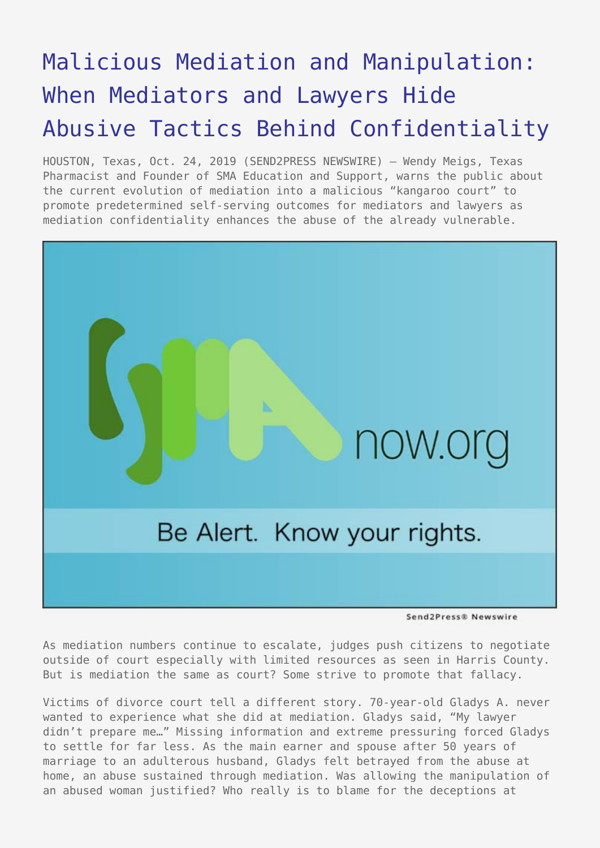## [Malicious Mediation and Manipulation:](https://www.send2press.com/wire/malicious-mediation-and-manipulation-when-mediators-and-lawyers-hide-abusive-tactics-behind-confidentiality/) [When Mediators and Lawyers Hide](https://www.send2press.com/wire/malicious-mediation-and-manipulation-when-mediators-and-lawyers-hide-abusive-tactics-behind-confidentiality/) [Abusive Tactics Behind Confidentiality](https://www.send2press.com/wire/malicious-mediation-and-manipulation-when-mediators-and-lawyers-hide-abusive-tactics-behind-confidentiality/)

HOUSTON, Texas, Oct. 24, 2019 (SEND2PRESS NEWSWIRE) — Wendy Meigs, Texas Pharmacist and Founder of SMA Education and Support, warns the public about the current evolution of mediation into a malicious "kangaroo court" to promote predetermined self-serving outcomes for mediators and lawyers as mediation confidentiality enhances the abuse of the already vulnerable.



Send2Press® Newswire

As mediation numbers continue to escalate, judges push citizens to negotiate outside of court especially with limited resources as seen in Harris County. But is mediation the same as court? Some strive to promote that fallacy.

Victims of divorce court tell a different story. 70-year-old Gladys A. never wanted to experience what she did at mediation. Gladys said, "My lawyer didn't prepare me…" Missing information and extreme pressuring forced Gladys to settle for far less. As the main earner and spouse after 50 years of marriage to an adulterous husband, Gladys felt betrayed from the abuse at home, an abuse sustained through mediation. Was allowing the manipulation of an abused woman justified? Who really is to blame for the deceptions at